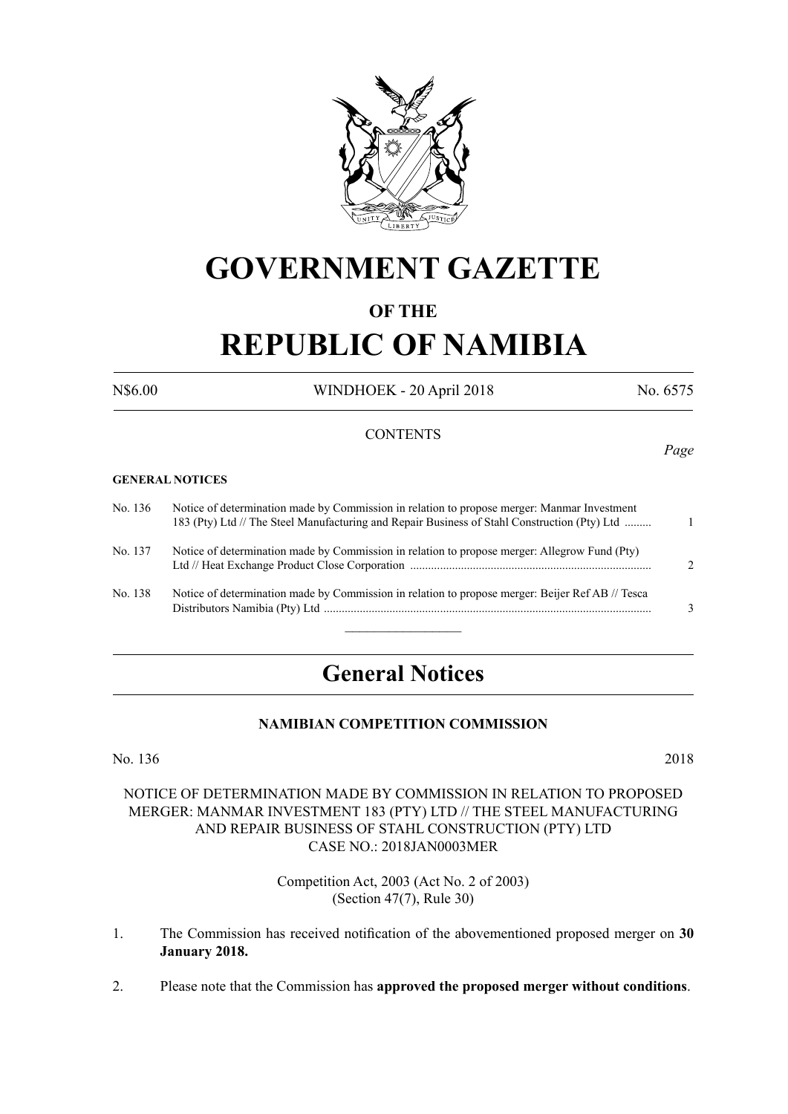

## **GOVERNMENT GAZETTE**

#### **OF THE**

# **REPUBLIC OF NAMIBIA**

N\$6.00 WINDHOEK - 20 April 2018 No. 6575

#### **CONTENTS**

#### **GENERAL NOTICES**

| No. 136 | Notice of determination made by Commission in relation to propose merger: Manmar Investment<br>183 (Pty) Ltd // The Steel Manufacturing and Repair Business of Stahl Construction (Pty) Ltd |               |
|---------|---------------------------------------------------------------------------------------------------------------------------------------------------------------------------------------------|---------------|
| No. 137 | Notice of determination made by Commission in relation to propose merger: Allegrow Fund (Pty)                                                                                               | $\mathcal{D}$ |
| No. 138 | Notice of determination made by Commission in relation to propose merger: Beijer Ref AB // Tesca                                                                                            | 3             |

### **General Notices**

#### **NAMIBIAN COMPETITION COMMISSION**

No. 136 2018

#### NOTICE OF DETERMINATION MADE BY COMMISSION IN RELATION TO PROPOSED MERGER: MANMAR INVESTMENT 183 (PTY) LTD // THE STEEL MANUFACTURING AND REPAIR BUSINESS OF STAHL CONSTRUCTION (PTY) LTD CASE NO.: 2018JAN0003MER

Competition Act, 2003 (Act No. 2 of 2003) (Section 47(7), Rule 30)

- 1. The Commission has received notification of the abovementioned proposed merger on **30 January 2018.**
- 2. Please note that the Commission has **approved the proposed merger without conditions**.

*Page*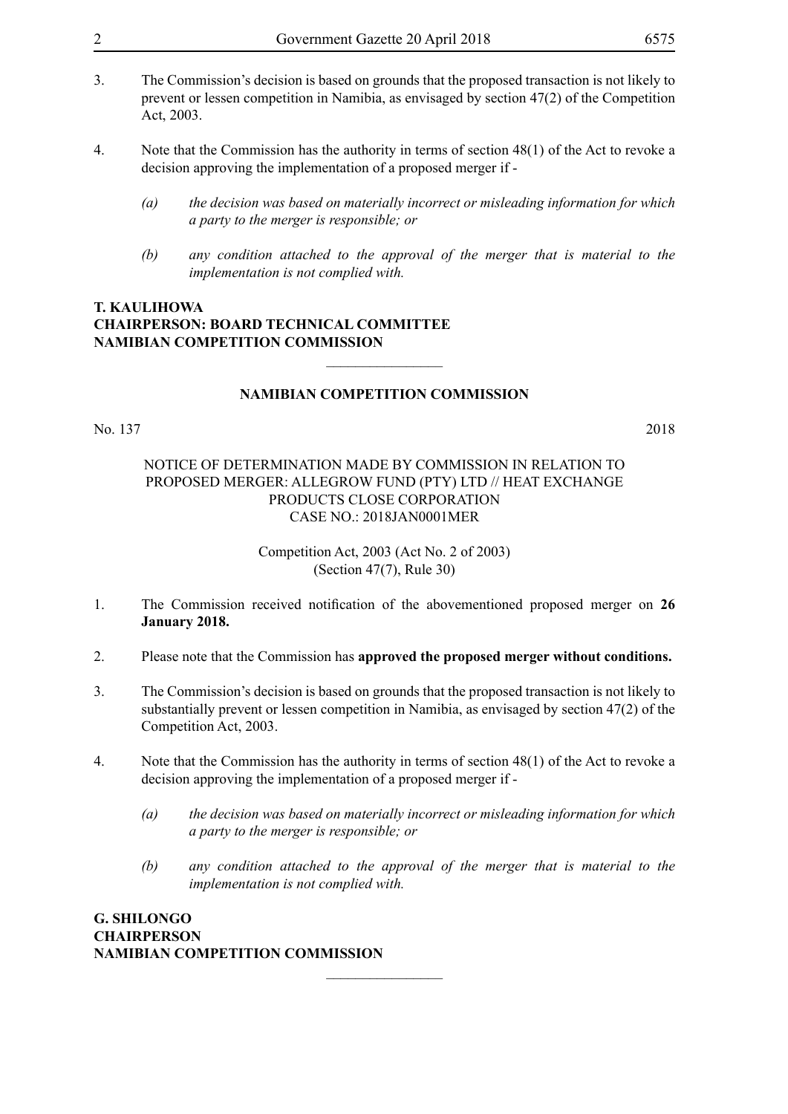- 3. The Commission's decision is based on grounds that the proposed transaction is not likely to prevent or lessen competition in Namibia, as envisaged by section 47(2) of the Competition Act, 2003.
- 4. Note that the Commission has the authority in terms of section 48(1) of the Act to revoke a decision approving the implementation of a proposed merger if -
	- *(a) the decision was based on materially incorrect or misleading information for which a party to the merger is responsible; or*
	- *(b) any condition attached to the approval of the merger that is material to the implementation is not complied with.*

#### **T. Kaulihowa Chairperson: Board Technical Committee Namibian Competition Commission**

#### **NAMIBIAN COMPETITION COMMISSION**

 $\overline{\phantom{a}}$  , where  $\overline{\phantom{a}}$ 

No. 137 2018

#### NOTICE OF DETERMINATION MADE BY COMMISSION IN RELATION TO PROPOSED MERGER: ALLEGROW FUND (PTY) LTD // HEAT EXCHANGE PRODUCTS CLOSE CORPORATION CASE NO.: 2018JAN0001MER

Competition Act, 2003 (Act No. 2 of 2003) (Section 47(7), Rule 30)

- 1. The Commission received notification of the abovementioned proposed merger on **26 January 2018.**
- 2. Please note that the Commission has **approved the proposed merger without conditions.**
- 3. The Commission's decision is based on grounds that the proposed transaction is not likely to substantially prevent or lessen competition in Namibia, as envisaged by section 47(2) of the Competition Act, 2003.
- 4. Note that the Commission has the authority in terms of section 48(1) of the Act to revoke a decision approving the implementation of a proposed merger if -

 $\frac{1}{2}$ 

- *(a) the decision was based on materially incorrect or misleading information for which a party to the merger is responsible; or*
- *(b) any condition attached to the approval of the merger that is material to the implementation is not complied with.*

**G. Shilongo Chairperson Namibian Competition Commission**